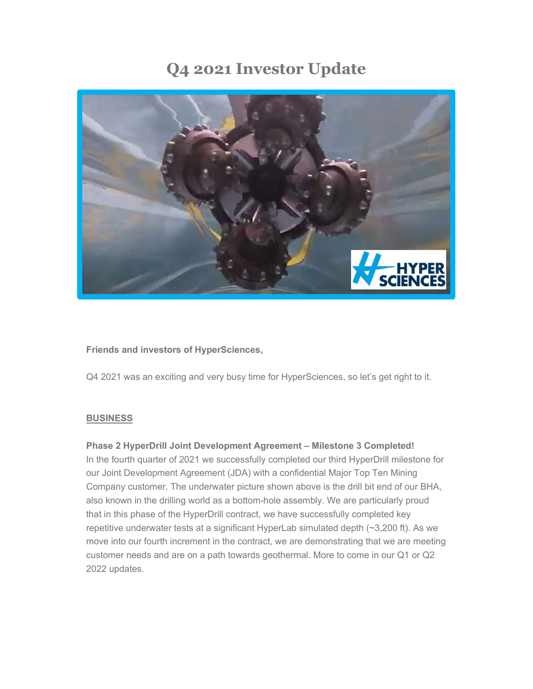# **Q4 2021 Investor Update**



## **Friends and investors of HyperSciences,**

Q4 2021 was an exciting and very busy time for HyperSciences, so let's get right to it.

## **BUSINESS**

## **Phase 2 HyperDrill Joint Development Agreement – Milestone 3 Completed!**

In the fourth quarter of 2021 we successfully completed our third HyperDrill milestone for our Joint Development Agreement (JDA) with a confidential Major Top Ten Mining Company customer. The underwater picture shown above is the drill bit end of our BHA, also known in the drilling world as a bottom-hole assembly. We are particularly proud that in this phase of the HyperDrill contract, we have successfully completed key repetitive underwater tests at a significant HyperLab simulated depth (~3,200 ft). As we move into our fourth increment in the contract, we are demonstrating that we are meeting customer needs and are on a path towards geothermal. More to come in our Q1 or Q2 2022 updates.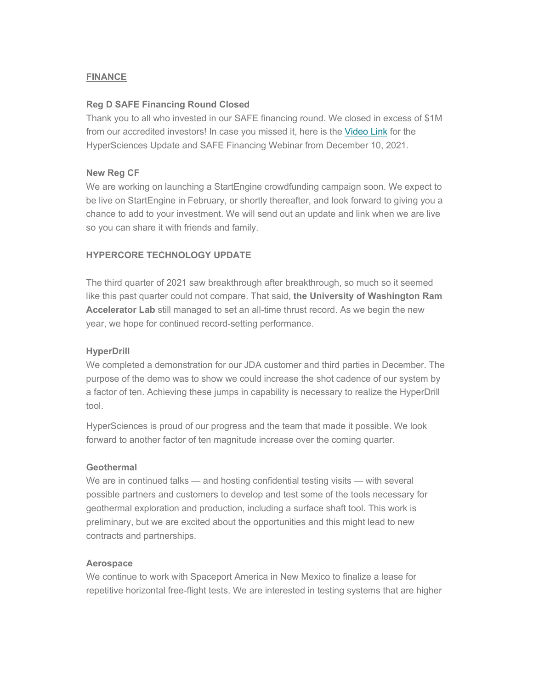# **FINANCE**

# **Reg D SAFE Financing Round Closed**

Thank you to all who invested in our SAFE financing round. We closed in excess of \$1M from our accredited investors! In case you missed it, here is the [Video Link](https://youtu.be/DpalqNFsh88) for the HyperSciences Update and SAFE Financing Webinar from December 10, 2021.

# **New Reg CF**

We are working on launching a StartEngine crowdfunding campaign soon. We expect to be live on StartEngine in February, or shortly thereafter, and look forward to giving you a chance to add to your investment. We will send out an update and link when we are live so you can share it with friends and family.

# **HYPERCORE TECHNOLOGY UPDATE**

The third quarter of 2021 saw breakthrough after breakthrough, so much so it seemed like this past quarter could not compare. That said, **the University of Washington Ram Accelerator Lab** still managed to set an all-time thrust record. As we begin the new year, we hope for continued record-setting performance.

# **HyperDrill**

We completed a demonstration for our JDA customer and third parties in December. The purpose of the demo was to show we could increase the shot cadence of our system by a factor of ten. Achieving these jumps in capability is necessary to realize the HyperDrill tool.

HyperSciences is proud of our progress and the team that made it possible. We look forward to another factor of ten magnitude increase over the coming quarter.

## **Geothermal**

We are in continued talks — and hosting confidential testing visits — with several possible partners and customers to develop and test some of the tools necessary for geothermal exploration and production, including a surface shaft tool. This work is preliminary, but we are excited about the opportunities and this might lead to new contracts and partnerships.

## **Aerospace**

We continue to work with Spaceport America in New Mexico to finalize a lease for repetitive horizontal free-flight tests. We are interested in testing systems that are higher